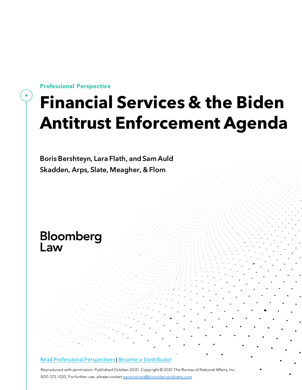**Professional Perspective**

# **Financial Services & the Biden Antitrust Enforcement Agenda**

Boris Bershteyn, Lara Flath, and Sam Auld Skadden, Arps, Slate, Meagher, & Flom

# Bloomberg Law

#### Read Professional [Perspectives](https://www.bloomberglaw.com/product/blaw/search/results/fce5c55b80fd6db95984633eb48fa7d5?utm_source=ACQ&utm_medium=PRP)| Become a [Contributor](https://pro.bloomberglaw.com/become-a-contributor/?utm_source=ACQ&utm_medium=PRP)

Reproduced with permission. Published October 2021. Copyright © 2021 The Bureau of National Affairs, Inc. 800.372.1033. For further use, please contac[t permissions@bloombergindustry.com](mailto:permissions@bloombergindustry.com)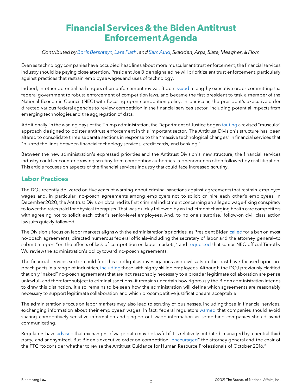# **Financial Services & the Biden Antitrust Enforcement Agenda**

#### *Contributedb[yBoris Bershteyn,](https://www.skadden.com/professionals/b/bershteyn-boris)[Lara Flath,](https://www.skadden.com/professionals/f/flath-lara-a) an[dSam Auld,](https://www.skadden.com/en/professionals/a/auld-sammuel) Skadden, Arps, Slate, Meagher, & Flom*

Even as technology companies have occupied headlines about more muscular antitrust enforcement, the financial services industry should be paying close attention. President Joe Biden signaled he will prioritize antitrust enforcement, particularly against practices that restrain employee wages and uses of technology.

Indeed, in other potential harbingers of an enforcement revival, Biden [issued](https://www.whitehouse.gov/briefing-room/presidential-actions/2021/07/09/executive-order-on-promoting-competition-in-the-american-economy/) a lengthy executive order committing the federal government to robust enforcement of competition laws, and became the first president to task a member of the National Economic Council (NEC) with focusing upon competition policy. In particular, the president's executive order directed various federal agencies to review competition in the financial services sector, including potential impacts from emerging technologies and the aggregation of data.

Additionally, in the waning days of the Trump administration, the Department of Justice began [touting](https://www.justice.gov/opa/speech/deputy-assistant-attorney-general-michael-murray-delivers-remarks-university-michigan-law) a revised "muscular" approach designed to bolster antitrust enforcement in this important sector. The Antitrust Division's structure has been altered to consolidate three separate sections in response to the "massive technological changes" in financial services that "blurred the lines between financial technology services, credit cards, and banking."

Between the new administration's expressed priorities and the Antitrust Division's new structure, the financial services industry could encounter growing scrutiny from competition authorities—a phenomenon often followed by civil litigation. This article focuses on aspects of the financial services industry that could face increased scrutiny.

## **Labor Practices**

The DOJ recently delivered on five years of warning about criminal sanctions against agreements that restrain employee wages and, in particular, no-poach agreements among employers not to solicit or hire each other's employees. In December 2020, the Antitrust Division obtained its first criminal indictment concerning an alleged wage-fixing conspiracy to lower the rates paid for physical therapists. That was quickly followed by an indictment charging health care competitors with agreeing not to solicit each other's senior-level employees. And, to no one's surprise, follow-on civil class action lawsuits quickly followed.

The Division's focus on labor markets aligns with the administration's priorities, as President Biden [called](https://joebiden.com/empowerworkers/) for a ban on most no-poach agreements, directed numerous federal officials—including the secretary of labor and the attorney general—to submit a report "on the effects of lack of competition on labor markets," and [requested](https://www.bloomberg.com/news/articles/2021-03-05/antitrust-author-timothy-wu-joins-national-economic-council) that senior NEC official Timothy Wu review the administration's policy toward no-poach agreements.

The financial services sector could feel this spotlight as investigations and civil suits in the past have focused upon nopoach pacts in a range of industries, [including](https://www.richmondfed.org/publications/research/econ_focus/2019/q1/policy_update.) those with highly skilled employees. Although the DOJ previously clarified that only "naked" no-poach agreements that are not reasonably necessary to a broader legitimate collaboration are per se unlawful—and therefore subject to criminal sanctions—it remains uncertain how rigorously the Biden administration intends to draw this distinction. It also remains to be seen how the administration will define which agreements are reasonably necessary to support legitimate collaboration and which procompetitive justifications are acceptable.

The administration's focus on labor markets may also lead to scrutiny of businesses, including those in financial services, exchanging information about their employees' wages. In fact, federal regulators [warned](https://www.ftc.gov/system/files/documents/advocacy_documents/joint-statement-bureau-competition-federal-trade-commission-antitrust-division-department-justice/statement_on_coronavirus_and_labor_competition_04132020_final.pdf) that companies should avoid sharing competitively sensitive information and singled out wage information as something companies should avoid communicating.

Regulators have [advised](https://www.justice.gov/atr/file/903511/download) that exchanges of wage data may be lawful if it is relatively outdated, managed by a neutral third party, and anonymized. But Biden's executive order on competition ["encouraged"](https://www.whitehouse.gov/briefing-room/presidential-actions/2021/07/09/executive-order-on-promoting-competition-in-the-american-economy/) the attorney general and the chair of the FTC "to consider whether to revise the Antitrust Guidance for Human Resource Professionals of October 2016."